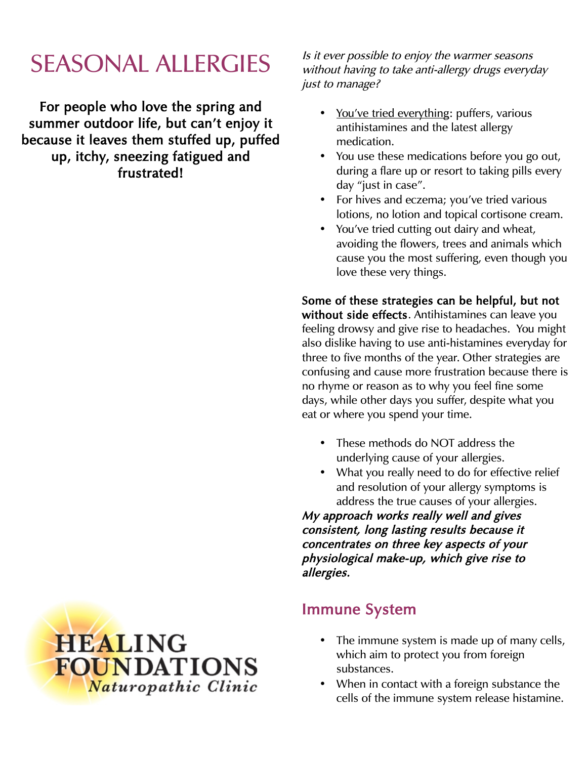# SEASONAL ALLERGIES

For people who love the spring and summer outdoor life, but can't enjoy it because it leaves them stuffed up, puffed up, itchy, sneezing fatigued and frustrated!

Is it ever possible to enjoy the warmer seasons without having to take anti-allergy drugs everyday just to manage?

- You've tried everything: puffers, various antihistamines and the latest allergy medication.
- You use these medications before you go out, during a flare up or resort to taking pills every day "just in case".
- For hives and eczema; you've tried various lotions, no lotion and topical cortisone cream.
- You've tried cutting out dairy and wheat, avoiding the flowers, trees and animals which cause you the most suffering, even though you love these very things.

Some of these strategies can be helpful, but not without side effects. Antihistamines can leave you feeling drowsy and give rise to headaches. You might also dislike having to use anti-histamines everyday for three to five months of the year. Other strategies are confusing and cause more frustration because there is no rhyme or reason as to why you feel fine some days, while other days you suffer, despite what you eat or where you spend your time.

- These methods do NOT address the underlying cause of your allergies.
- What you really need to do for effective relief and resolution of your allergy symptoms is address the true causes of your allergies.

My approach works really well and gives consistent, long lasting results because it concentrates on three key aspects of your physiological make-up, which give rise to allergies.

### Immune System

- The immune system is made up of many cells, which aim to protect you from foreign substances.
- When in contact with a foreign substance the cells of the immune system release histamine.

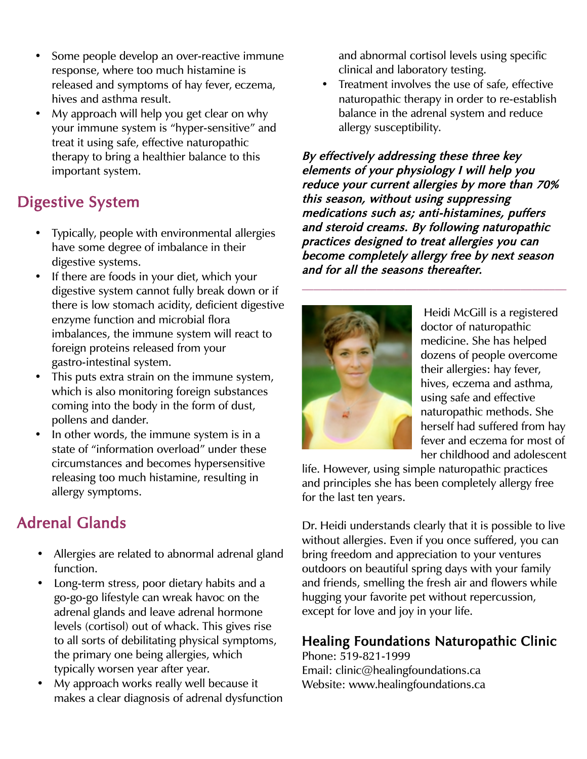- Some people develop an over-reactive immune response, where too much histamine is released and symptoms of hay fever, eczema, hives and asthma result.
- My approach will help you get clear on why your immune system is "hyper-sensitive" and treat it using safe, effective naturopathic therapy to bring a healthier balance to this important system.

## Digestive System

- Typically, people with environmental allergies have some degree of imbalance in their digestive systems.
- If there are foods in your diet, which your digestive system cannot fully break down or if there is low stomach acidity, deficient digestive enzyme function and microbial flora imbalances, the immune system will react to foreign proteins released from your gastro-intestinal system.
- This puts extra strain on the immune system, which is also monitoring foreign substances coming into the body in the form of dust, pollens and dander.
- In other words, the immune system is in a state of "information overload" under these circumstances and becomes hypersensitive releasing too much histamine, resulting in allergy symptoms.

# Adrenal Glands

- Allergies are related to abnormal adrenal gland function.
- Long-term stress, poor dietary habits and a go-go-go lifestyle can wreak havoc on the adrenal glands and leave adrenal hormone levels (cortisol) out of whack. This gives rise to all sorts of debilitating physical symptoms, the primary one being allergies, which typically worsen year after year.
- My approach works really well because it makes a clear diagnosis of adrenal dysfunction

and abnormal cortisol levels using specific clinical and laboratory testing.

• Treatment involves the use of safe, effective naturopathic therapy in order to re-establish balance in the adrenal system and reduce allergy susceptibility.

By effectively addressing these three key elements of your physiology I will help you reduce your current allergies by more than 70% this season, without using suppressing medications such as; anti-histamines, puffers and steroid creams. By following naturopathic practices designed to treat allergies you can become completely allergy free by next season and for all the seasons thereafter.



Heidi McGill is a registered doctor of naturopathic medicine. She has helped dozens of people overcome their allergies: hay fever, hives, eczema and asthma, using safe and effective naturopathic methods. She herself had suffered from hay fever and eczema for most of her childhood and adolescent

life. However, using simple naturopathic practices and principles she has been completely allergy free for the last ten years.

Dr. Heidi understands clearly that it is possible to live without allergies. Even if you once suffered, you can bring freedom and appreciation to your ventures outdoors on beautiful spring days with your family and friends, smelling the fresh air and flowers while hugging your favorite pet without repercussion, except for love and joy in your life.

### Healing Foundations Naturopathic Clinic

Phone: 519-821-1999 Email: clinic@healingfoundations.ca Website: www.healingfoundations.ca